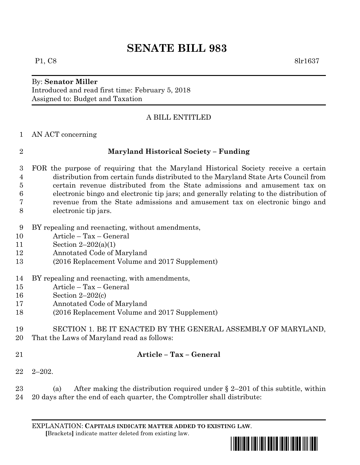## **SENATE BILL 983**

# By: **Senator Miller**

Introduced and read first time: February 5, 2018 Assigned to: Budget and Taxation

### A BILL ENTITLED

### AN ACT concerning

### **Maryland Historical Society – Funding**

- FOR the purpose of requiring that the Maryland Historical Society receive a certain distribution from certain funds distributed to the Maryland State Arts Council from certain revenue distributed from the State admissions and amusement tax on electronic bingo and electronic tip jars; and generally relating to the distribution of revenue from the State admissions and amusement tax on electronic bingo and electronic tip jars.
- BY repealing and reenacting, without amendments,
- Article Tax General
- Section 2–202(a)(1)
- Annotated Code of Maryland
- (2016 Replacement Volume and 2017 Supplement)
- BY repealing and reenacting, with amendments,
- Article Tax General
- Section 2–202(c)
- Annotated Code of Maryland
- (2016 Replacement Volume and 2017 Supplement)
- SECTION 1. BE IT ENACTED BY THE GENERAL ASSEMBLY OF MARYLAND, That the Laws of Maryland read as follows:
- 

## **Article – Tax – General**

2–202.

23 (a) After making the distribution required under  $\S 2-201$  of this subtitle, within 20 days after the end of each quarter, the Comptroller shall distribute:

EXPLANATION: **CAPITALS INDICATE MATTER ADDED TO EXISTING LAW**.  **[**Brackets**]** indicate matter deleted from existing law.



P1, C8 8lr1637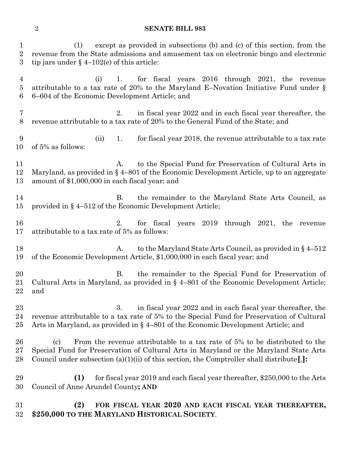### **SENATE BILL 983**

 (1) except as provided in subsections (b) and (c) of this section, from the revenue from the State admissions and amusement tax on electronic bingo and electronic 3 tip jars under  $\S$  4–102(e) of this article: (i) 1. for fiscal years 2016 through 2021, the revenue attributable to a tax rate of 20% to the Maryland E–Novation Initiative Fund under § 6–604 of the Economic Development Article; and 2. in fiscal year 2022 and in each fiscal year thereafter, the revenue attributable to a tax rate of 20% to the General Fund of the State; and (ii) 1. for fiscal year 2018, the revenue attributable to a tax rate of 5% as follows: 11 A. to the Special Fund for Preservation of Cultural Arts in Maryland, as provided in § 4–801 of the Economic Development Article, up to an aggregate amount of \$1,000,000 in each fiscal year; and 14 B. the remainder to the Maryland State Arts Council, as provided in § 4–512 of the Economic Development Article; 2. for fiscal years 2019 through 2021, the revenue attributable to a tax rate of 5% as follows: 18 A. to the Maryland State Arts Council, as provided in § 4–512 of the Economic Development Article, \$1,000,000 in each fiscal year; and B. the remainder to the Special Fund for Preservation of Cultural Arts in Maryland, as provided in § 4–801 of the Economic Development Article; and 23 3. in fiscal year 2022 and in each fiscal year thereafter, the revenue attributable to a tax rate of 5% to the Special Fund for Preservation of Cultural Arts in Maryland, as provided in § 4–801 of the Economic Development Article; and (c) From the revenue attributable to a tax rate of 5% to be distributed to the Special Fund for Preservation of Cultural Arts in Maryland or the Maryland State Arts Council under subsection (a)(1)(ii) of this section, the Comptroller shall distribute**[**,**]: (1)** for fiscal year 2019 and each fiscal year thereafter, \$250,000 to the Arts Council of Anne Arundel County**; AND (2) FOR FISCAL YEAR 2020 AND EACH FISCAL YEAR THEREAFTER, \$250,000 TO THE MARYLAND HISTORICAL SOCIETY**.